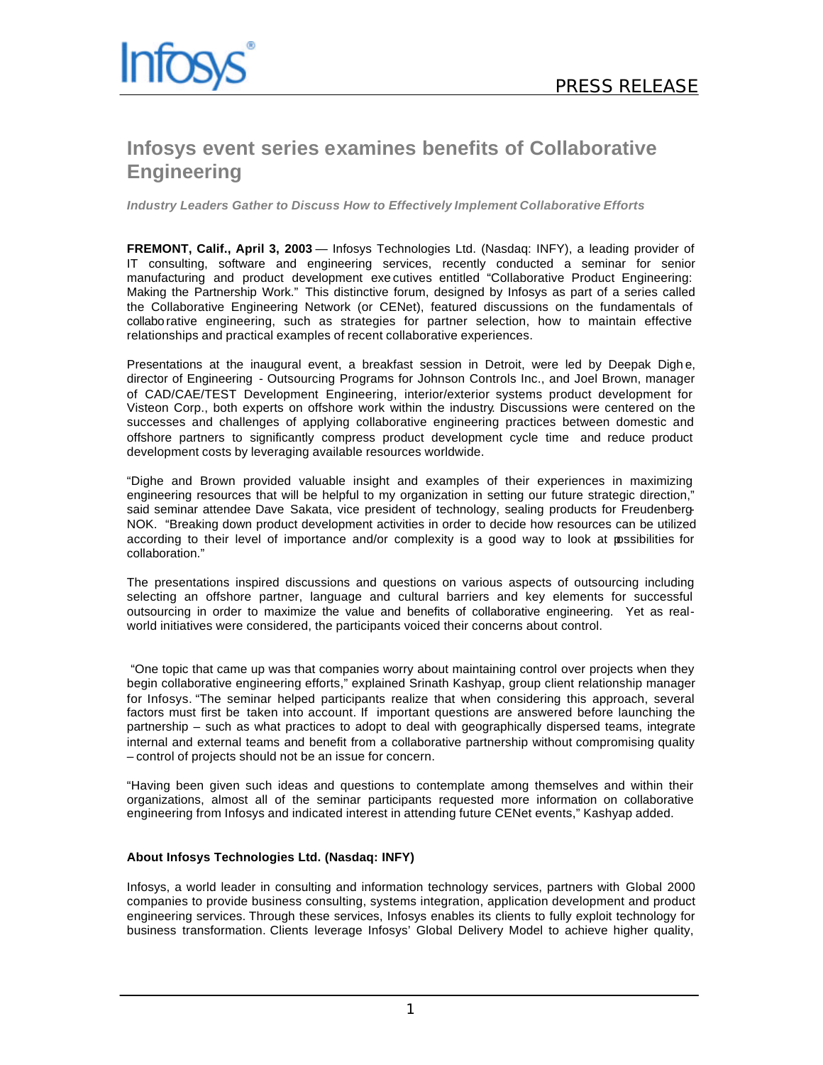

## **Infosys event series examines benefits of Collaborative Engineering**

*Industry Leaders Gather to Discuss How to Effectively Implement Collaborative Efforts*

**FREMONT, Calif., April 3, 2003** — Infosys Technologies Ltd. (Nasdaq: INFY), a leading provider of IT consulting, software and engineering services, recently conducted a seminar for senior manufacturing and product development exe cutives entitled "Collaborative Product Engineering: Making the Partnership Work." This distinctive forum, designed by Infosys as part of a series called the Collaborative Engineering Network (or CENet), featured discussions on the fundamentals of collabo rative engineering, such as strategies for partner selection, how to maintain effective relationships and practical examples of recent collaborative experiences.

Presentations at the inaugural event, a breakfast session in Detroit, were led by Deepak Dighe, director of Engineering - Outsourcing Programs for Johnson Controls Inc., and Joel Brown, manager of CAD/CAE/TEST Development Engineering, interior/exterior systems product development for Visteon Corp., both experts on offshore work within the industry. Discussions were centered on the successes and challenges of applying collaborative engineering practices between domestic and offshore partners to significantly compress product development cycle time and reduce product development costs by leveraging available resources worldwide.

"Dighe and Brown provided valuable insight and examples of their experiences in maximizing engineering resources that will be helpful to my organization in setting our future strategic direction," said seminar attendee Dave Sakata, vice president of technology, sealing products for Freudenberg-NOK. "Breaking down product development activities in order to decide how resources can be utilized according to their level of importance and/or complexity is a good way to look at possibilities for collaboration."

The presentations inspired discussions and questions on various aspects of outsourcing including selecting an offshore partner, language and cultural barriers and key elements for successful outsourcing in order to maximize the value and benefits of collaborative engineering. Yet as realworld initiatives were considered, the participants voiced their concerns about control.

 "One topic that came up was that companies worry about maintaining control over projects when they begin collaborative engineering efforts," explained Srinath Kashyap, group client relationship manager for Infosys. "The seminar helped participants realize that when considering this approach, several factors must first be taken into account. If important questions are answered before launching the partnership – such as what practices to adopt to deal with geographically dispersed teams, integrate internal and external teams and benefit from a collaborative partnership without compromising quality – control of projects should not be an issue for concern.

"Having been given such ideas and questions to contemplate among themselves and within their organizations, almost all of the seminar participants requested more information on collaborative engineering from Infosys and indicated interest in attending future CENet events," Kashyap added.

## **About Infosys Technologies Ltd. (Nasdaq: INFY)**

Infosys, a world leader in consulting and information technology services, partners with Global 2000 companies to provide business consulting, systems integration, application development and product engineering services. Through these services, Infosys enables its clients to fully exploit technology for business transformation. Clients leverage Infosys' Global Delivery Model to achieve higher quality,